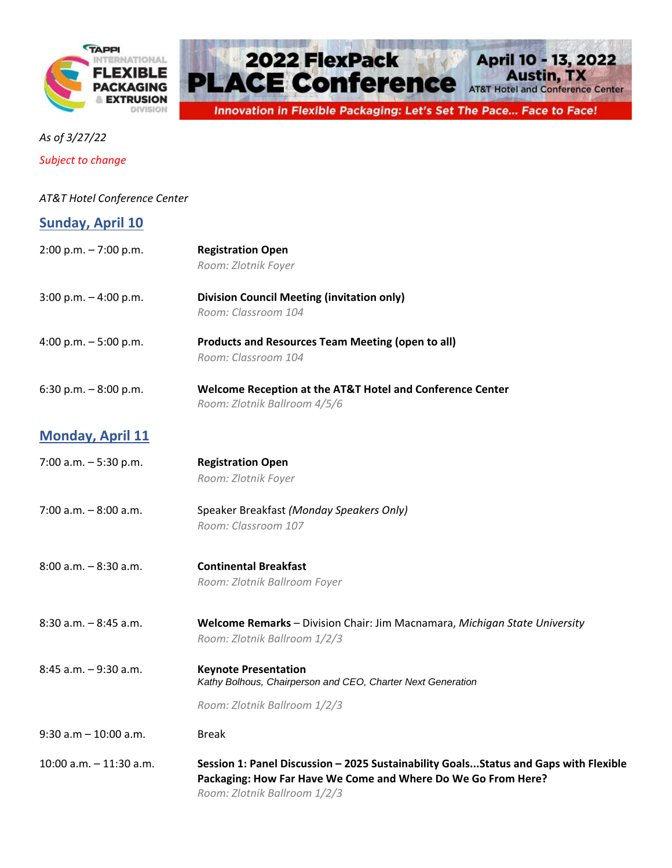



*As of 3/27/22*

*Subject to change*

## *AT&T Hotel Conference Center*

| <b>Sunday, April 10</b> |
|-------------------------|
|-------------------------|

| $2:00$ p.m. $-7:00$ p.m. | <b>Registration Open</b>                                                                      |
|--------------------------|-----------------------------------------------------------------------------------------------|
|                          | Room: Zlotnik Foyer                                                                           |
| 3:00 p.m. $-4:00$ p.m.   | <b>Division Council Meeting (invitation only)</b>                                             |
|                          | Room: Classroom 104                                                                           |
| 4:00 p.m. - 5:00 p.m.    | <b>Products and Resources Team Meeting (open to all)</b>                                      |
|                          | Room: Classroom 104                                                                           |
| 6:30 p.m. $-8:00$ p.m.   | Welcome Reception at the AT&T Hotel and Conference Center                                     |
|                          | Room: Zlotnik Ballroom 4/5/6                                                                  |
| <b>Monday, April 11</b>  |                                                                                               |
| 7:00 a.m. $-5:30$ p.m.   | <b>Registration Open</b>                                                                      |
|                          | Room: Zlotnik Foyer                                                                           |
| $7:00$ a.m. $-8:00$ a.m. | Speaker Breakfast (Monday Speakers Only)                                                      |
|                          | Room: Classroom 107                                                                           |
| 8:00 a.m. - 8:30 a.m.    | <b>Continental Breakfast</b>                                                                  |
|                          | Room: Zlotnik Ballroom Foyer                                                                  |
| 8:30 a.m. - 8:45 a.m.    | Welcome Remarks - Division Chair: Jim Macnamara, Michigan State University                    |
|                          | Room: Zlotnik Ballroom 1/2/3                                                                  |
| 8:45 a.m. - 9:30 a.m.    | <b>Keynote Presentation</b>                                                                   |
|                          | Kathy Bolhous, Chairperson and CEO, Charter Next Generation                                   |
|                          | Room: Zlotnik Ballroom 1/2/3                                                                  |
| 9:30 a.m - 10:00 a.m.    | <b>Break</b>                                                                                  |
| 10:00 a.m. - 11:30 a.m.  | Session 1: Panel Discussion - 2025 Sustainability GoalsStatus and Gaps with Flexible          |
|                          | Packaging: How Far Have We Come and Where Do We Go From Here?<br>Room: Zlotnik Ballroom 1/2/3 |
|                          |                                                                                               |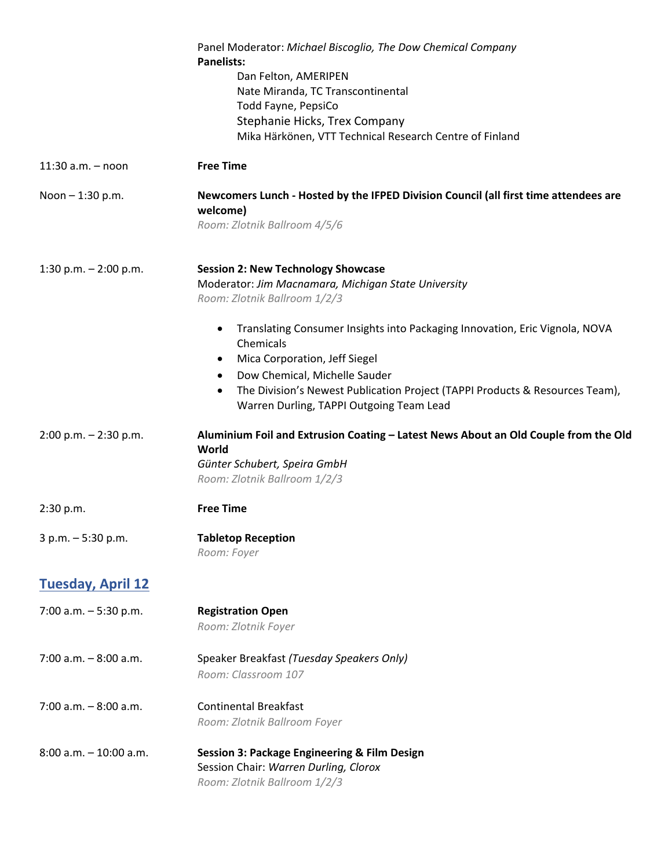|                           | Panel Moderator: Michael Biscoglio, The Dow Chemical Company<br><b>Panelists:</b><br>Dan Felton, AMERIPEN<br>Nate Miranda, TC Transcontinental<br>Todd Fayne, PepsiCo |
|---------------------------|-----------------------------------------------------------------------------------------------------------------------------------------------------------------------|
|                           | Stephanie Hicks, Trex Company                                                                                                                                         |
|                           | Mika Härkönen, VTT Technical Research Centre of Finland                                                                                                               |
| $11:30$ a.m. $-$ noon     | <b>Free Time</b>                                                                                                                                                      |
| Noon $- 1:30$ p.m.        | Newcomers Lunch - Hosted by the IFPED Division Council (all first time attendees are<br>welcome)<br>Room: Zlotnik Ballroom 4/5/6                                      |
| 1:30 p.m. $- 2:00$ p.m.   | <b>Session 2: New Technology Showcase</b><br>Moderator: Jim Macnamara, Michigan State University<br>Room: Zlotnik Ballroom 1/2/3                                      |
|                           | Translating Consumer Insights into Packaging Innovation, Eric Vignola, NOVA<br>$\bullet$<br>Chemicals<br>Mica Corporation, Jeff Siegel<br>٠                           |
|                           | Dow Chemical, Michelle Sauder                                                                                                                                         |
|                           | The Division's Newest Publication Project (TAPPI Products & Resources Team),<br>$\bullet$<br>Warren Durling, TAPPI Outgoing Team Lead                                 |
| $2:00$ p.m. $- 2:30$ p.m. | Aluminium Foil and Extrusion Coating - Latest News About an Old Couple from the Old<br>World<br>Günter Schubert, Speira GmbH<br>Room: Zlotnik Ballroom 1/2/3          |
| 2:30 p.m.                 | <b>Free Time</b>                                                                                                                                                      |
| 3 p.m. - 5:30 p.m.        | <b>Tabletop Reception</b><br>Room: Foyer                                                                                                                              |
| <b>Tuesday, April 12</b>  |                                                                                                                                                                       |
| 7:00 a.m. $-5:30$ p.m.    | <b>Registration Open</b><br>Room: Zlotnik Foyer                                                                                                                       |
| $7:00$ a.m. $-8:00$ a.m.  | Speaker Breakfast (Tuesday Speakers Only)<br>Room: Classroom 107                                                                                                      |
| $7:00$ a.m. $-8:00$ a.m.  | <b>Continental Breakfast</b><br>Room: Zlotnik Ballroom Foyer                                                                                                          |
| $8:00$ a.m. $-10:00$ a.m. | <b>Session 3: Package Engineering &amp; Film Design</b><br>Session Chair: Warren Durling, Clorox<br>Room: Zlotnik Ballroom 1/2/3                                      |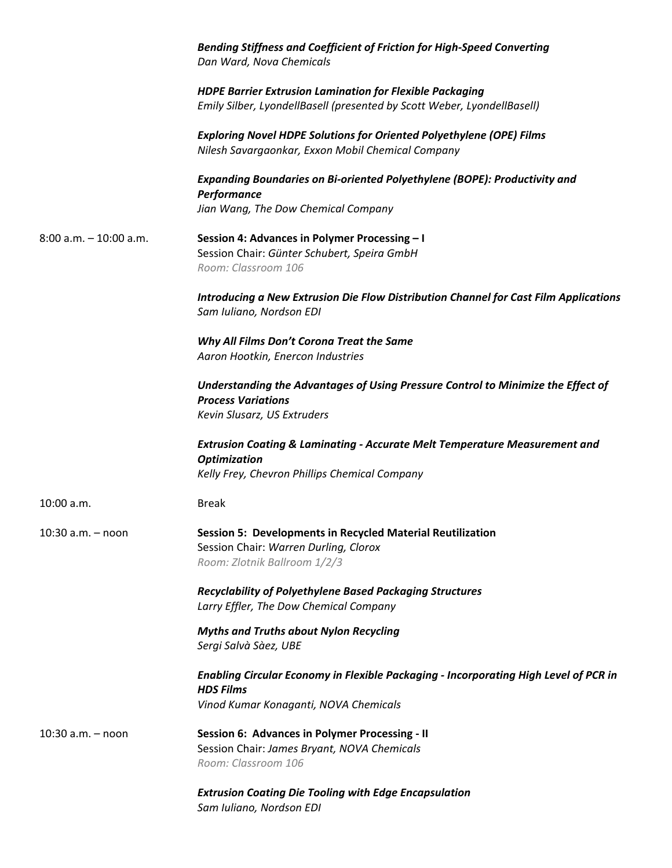|                           | Bending Stiffness and Coefficient of Friction for High-Speed Converting<br>Dan Ward, Nova Chemicals                                                           |
|---------------------------|---------------------------------------------------------------------------------------------------------------------------------------------------------------|
|                           | <b>HDPE Barrier Extrusion Lamination for Flexible Packaging</b><br>Emily Silber, LyondellBasell (presented by Scott Weber, LyondellBasell)                    |
|                           | <b>Exploring Novel HDPE Solutions for Oriented Polyethylene (OPE) Films</b><br>Nilesh Savargaonkar, Exxon Mobil Chemical Company                              |
|                           | Expanding Boundaries on Bi-oriented Polyethylene (BOPE): Productivity and<br>Performance                                                                      |
|                           | Jian Wang, The Dow Chemical Company                                                                                                                           |
| $8:00$ a.m. $-10:00$ a.m. | Session 4: Advances in Polymer Processing - I<br>Session Chair: Günter Schubert, Speira GmbH<br>Room: Classroom 106                                           |
|                           | Introducing a New Extrusion Die Flow Distribution Channel for Cast Film Applications<br>Sam Iuliano, Nordson EDI                                              |
|                           | Why All Films Don't Corona Treat the Same<br>Aaron Hootkin, Enercon Industries                                                                                |
|                           | Understanding the Advantages of Using Pressure Control to Minimize the Effect of<br><b>Process Variations</b><br>Kevin Slusarz, US Extruders                  |
|                           | <b>Extrusion Coating &amp; Laminating - Accurate Melt Temperature Measurement and</b><br><b>Optimization</b><br>Kelly Frey, Chevron Phillips Chemical Company |
| 10:00 a.m.                | <b>Break</b>                                                                                                                                                  |
| $10:30$ a.m. $-$ noon     | <b>Session 5: Developments in Recycled Material Reutilization</b><br>Session Chair: Warren Durling, Clorox<br>Room: Zlotnik Ballroom 1/2/3                    |
|                           | <b>Recyclability of Polyethylene Based Packaging Structures</b><br>Larry Effler, The Dow Chemical Company                                                     |
|                           | <b>Myths and Truths about Nylon Recycling</b><br>Sergi Salvà Sàez, UBE                                                                                        |
|                           | Enabling Circular Economy in Flexible Packaging - Incorporating High Level of PCR in<br><b>HDS Films</b>                                                      |
|                           | Vinod Kumar Konaganti, NOVA Chemicals                                                                                                                         |
| $10:30$ a.m. $-$ noon     | Session 6: Advances in Polymer Processing - II<br>Session Chair: James Bryant, NOVA Chemicals<br>Room: Classroom 106                                          |
|                           | <b>Extrusion Coating Die Tooling with Edge Encapsulation</b><br>Sam Iuliano, Nordson EDI                                                                      |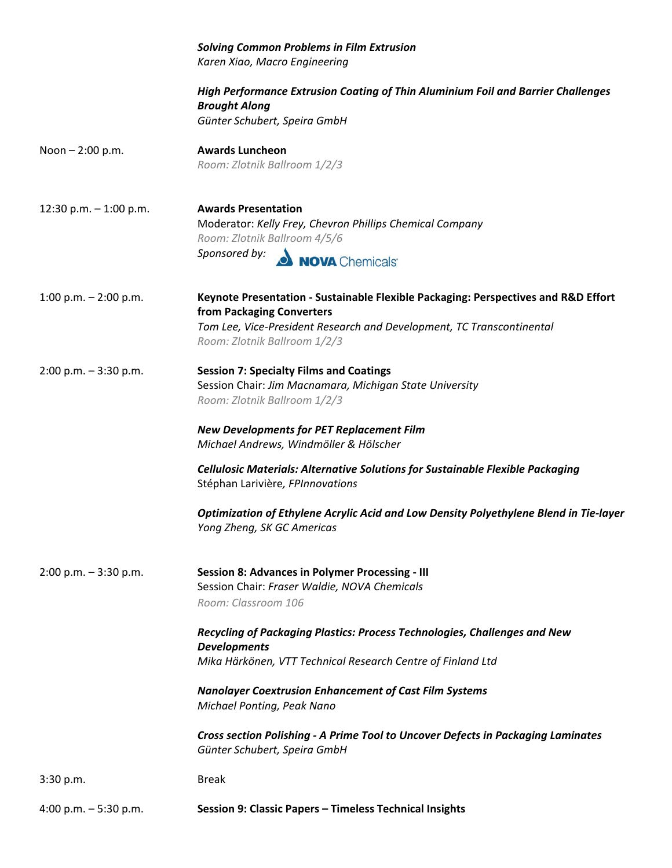|                          | <b>Solving Common Problems in Film Extrusion</b><br>Karen Xiao, Macro Engineering                                                                                                                                                                            |
|--------------------------|--------------------------------------------------------------------------------------------------------------------------------------------------------------------------------------------------------------------------------------------------------------|
|                          | High Performance Extrusion Coating of Thin Aluminium Foil and Barrier Challenges<br><b>Brought Along</b><br>Günter Schubert, Speira GmbH                                                                                                                     |
| Noon $- 2:00$ p.m.       | <b>Awards Luncheon</b><br>Room: Zlotnik Ballroom 1/2/3                                                                                                                                                                                                       |
| 12:30 p.m. $-$ 1:00 p.m. | <b>Awards Presentation</b><br>Moderator: Kelly Frey, Chevron Phillips Chemical Company<br>Room: Zlotnik Ballroom 4/5/6<br>Sponsored by: NOVA Chemicals                                                                                                       |
| 1:00 p.m. $-$ 2:00 p.m.  | Keynote Presentation - Sustainable Flexible Packaging: Perspectives and R&D Effort<br>from Packaging Converters<br>Tom Lee, Vice-President Research and Development, TC Transcontinental<br>Room: Zlotnik Ballroom 1/2/3                                     |
| $2:00$ p.m. $-3:30$ p.m. | <b>Session 7: Specialty Films and Coatings</b><br>Session Chair: Jim Macnamara, Michigan State University<br>Room: Zlotnik Ballroom 1/2/3<br><b>New Developments for PET Replacement Film</b>                                                                |
|                          | Michael Andrews, Windmöller & Hölscher<br><b>Cellulosic Materials: Alternative Solutions for Sustainable Flexible Packaging</b><br>Stéphan Larivière, FPInnovations<br>Optimization of Ethylene Acrylic Acid and Low Density Polyethylene Blend in Tie-layer |
| $2:00$ p.m. $-3:30$ p.m. | Yong Zheng, SK GC Americas<br><b>Session 8: Advances in Polymer Processing - III</b><br>Session Chair: Fraser Waldie, NOVA Chemicals<br>Room: Classroom 106                                                                                                  |
|                          | Recycling of Packaging Plastics: Process Technologies, Challenges and New<br><b>Developments</b><br>Mika Härkönen, VTT Technical Research Centre of Finland Ltd                                                                                              |
|                          | <b>Nanolayer Coextrusion Enhancement of Cast Film Systems</b><br>Michael Ponting, Peak Nano<br><b>Cross section Polishing - A Prime Tool to Uncover Defects in Packaging Laminates</b>                                                                       |
| 3:30 p.m.                | Günter Schubert, Speira GmbH<br><b>Break</b>                                                                                                                                                                                                                 |
| 4:00 p.m. $-5:30$ p.m.   | Session 9: Classic Papers - Timeless Technical Insights                                                                                                                                                                                                      |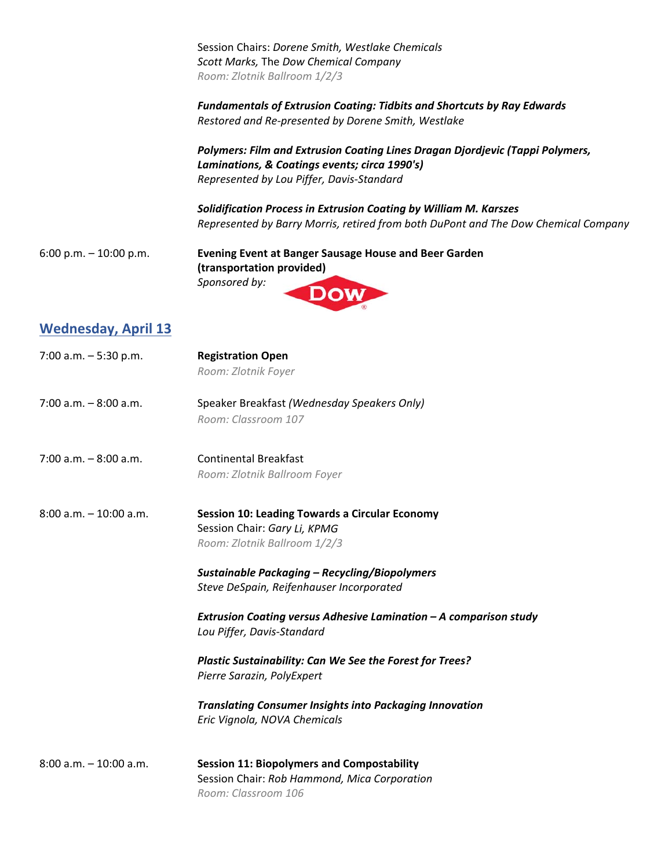Session Chairs: *Dorene Smith, Westlake Chemicals Scott Marks,* The *Dow Chemical Company Room: Zlotnik Ballroom 1/2/3*

*Fundamentals of Extrusion Coating: Tidbits and Shortcuts by Ray Edwards Restored and Re‐presented by Dorene Smith, Westlake*

*Polymers: Film and Extrusion Coating Lines Dragan Djordjevic (Tappi Polymers, Laminations, & Coatings events; circa 1990's) Represented by Lou Piffer, Davis‐Standard*

*Solidification Process in Extrusion Coating by William M. Karszes Represented by Barry Morris, retired from both DuPont and The Dow Chemical Company*

6:00 p.m. – 10:00 p.m. **Evening Event at Banger Sausage House and Beer Garden (transportation provided)**  *Sponsored by:* 

## **Wednesday, April 13**

- 7:00 a.m. 5:30 p.m. **Registration Open** *Room: Zlotnik Foyer*
- 7:00 a.m. 8:00 a.m. Speaker Breakfast *(Wednesday Speakers Only) Room: Classroom 107*
- 7:00 a.m. 8:00 a.m. Continental Breakfast *Room: Zlotnik Ballroom Foyer*
- 8:00 a.m. 10:00 a.m. **Session 10: Leading Towards a Circular Economy** Session Chair: *Gary Li, KPMG Room: Zlotnik Ballroom 1/2/3*
	- *Sustainable Packaging – Recycling/Biopolymers Steve DeSpain, Reifenhauser Incorporated*
	- *Extrusion Coating versus Adhesive Lamination – A comparison study Lou Piffer, Davis‐Standard*
	- *Plastic Sustainability: Can We See the Forest for Trees? Pierre Sarazin, PolyExpert*
	- *Translating Consumer Insights into Packaging Innovation Eric Vignola, NOVA Chemicals*

8:00 a.m. – 10:00 a.m. **Session 11: Biopolymers and Compostability** Session Chair: *Rob Hammond, Mica Corporation Room: Classroom 106*